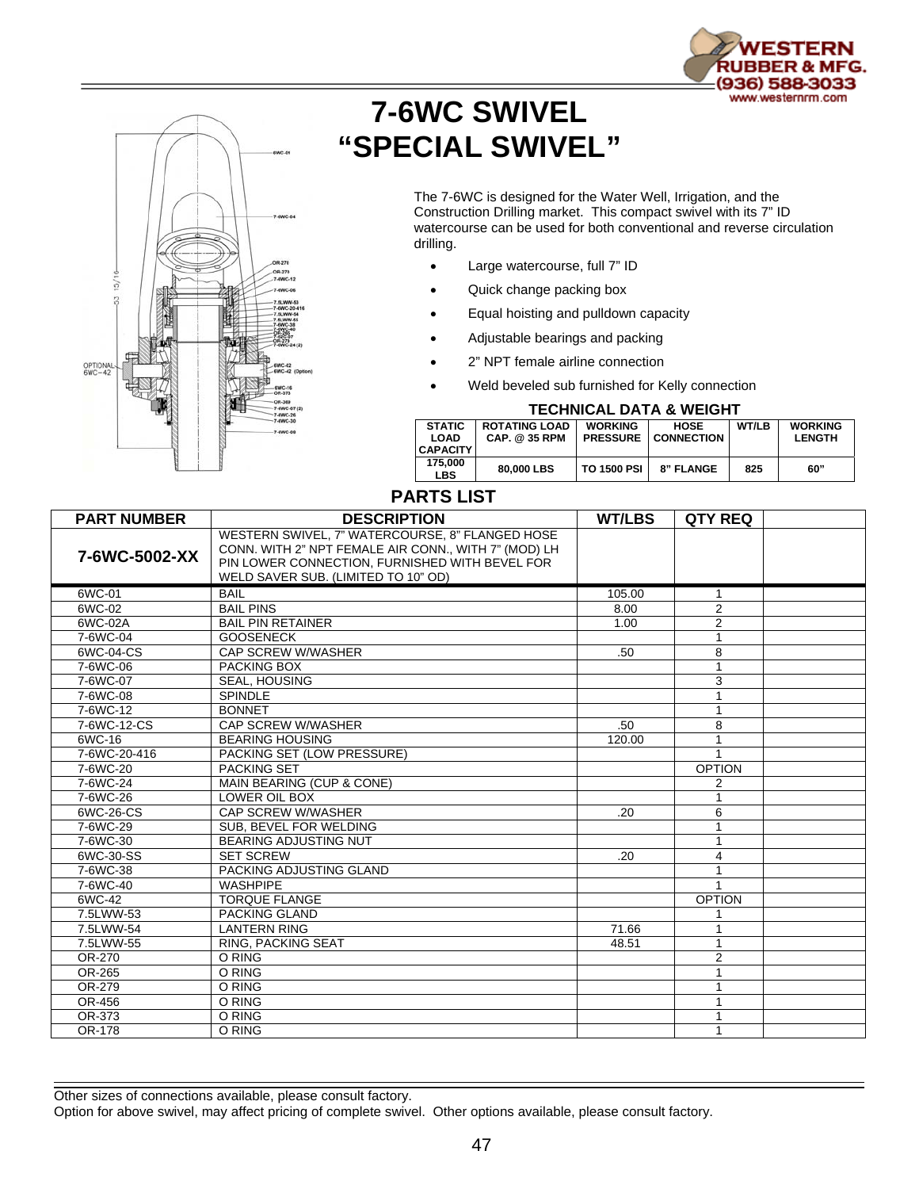



## **7-6WC SWIVEL "SPECIAL SWIVEL"**

The 7-6WC is designed for the Water Well, Irrigation, and the Construction Drilling market. This compact swivel with its 7" ID watercourse can be used for both conventional and reverse circulation drilling.

- Large watercourse, full 7" ID
- Quick change packing box
- Equal hoisting and pulldown capacity
- Adjustable bearings and packing
- 2" NPT female airline connection
- Weld beveled sub furnished for Kelly connection

## **TECHNICAL DATA & WEIGHT**

| <b>STATIC</b><br>LOAD<br><b>CAPACITY</b> | <b>ROTATING LOAD</b><br>CAP. @ 35 RPM | <b>WORKING</b>     | <b>HOSE</b><br><b>PRESSURE CONNECTION</b> | WT/LB | <b>WORKING</b><br><b>LENGTH</b> |
|------------------------------------------|---------------------------------------|--------------------|-------------------------------------------|-------|---------------------------------|
| 175.000<br>LBS                           | 80,000 LBS                            | <b>TO 1500 PSI</b> | 8" FLANGE                                 | 825   | 60"                             |

## **PARTS LIST**

| <b>PART NUMBER</b> | <b>DESCRIPTION</b>                                                                                                                                                                               | <b>WT/LBS</b> | <b>QTY REQ</b> |  |
|--------------------|--------------------------------------------------------------------------------------------------------------------------------------------------------------------------------------------------|---------------|----------------|--|
| 7-6WC-5002-XX      | WESTERN SWIVEL, 7" WATERCOURSE, 8" FLANGED HOSE<br>CONN. WITH 2" NPT FEMALE AIR CONN., WITH 7" (MOD) LH<br>PIN LOWER CONNECTION, FURNISHED WITH BEVEL FOR<br>WELD SAVER SUB. (LIMITED TO 10" OD) |               |                |  |
| 6WC-01             | <b>BAIL</b>                                                                                                                                                                                      | 105.00        | 1              |  |
| 6WC-02             | <b>BAIL PINS</b>                                                                                                                                                                                 | 8.00          | $\overline{2}$ |  |
| 6WC-02A            | <b>BAIL PIN RETAINER</b>                                                                                                                                                                         | 1.00          | $\overline{2}$ |  |
| 7-6WC-04           | <b>GOOSENECK</b>                                                                                                                                                                                 |               | 1              |  |
| 6WC-04-CS          | CAP SCREW W/WASHER                                                                                                                                                                               | .50           | 8              |  |
| 7-6WC-06           | PACKING BOX                                                                                                                                                                                      |               | 1              |  |
| 7-6WC-07           | <b>SEAL, HOUSING</b>                                                                                                                                                                             |               | 3              |  |
| 7-6WC-08           | <b>SPINDLE</b>                                                                                                                                                                                   |               |                |  |
| 7-6WC-12           | <b>BONNET</b>                                                                                                                                                                                    |               |                |  |
| 7-6WC-12-CS        | CAP SCREW W/WASHER                                                                                                                                                                               | .50           | 8              |  |
| 6WC-16             | <b>BEARING HOUSING</b>                                                                                                                                                                           | 120.00        | 1              |  |
| 7-6WC-20-416       | PACKING SET (LOW PRESSURE)                                                                                                                                                                       |               |                |  |
| 7-6WC-20           | <b>PACKING SET</b>                                                                                                                                                                               |               | <b>OPTION</b>  |  |
| 7-6WC-24           | MAIN BEARING (CUP & CONE)                                                                                                                                                                        |               | 2              |  |
| 7-6WC-26           | LOWER OIL BOX                                                                                                                                                                                    |               | 1              |  |
| 6WC-26-CS          | <b>CAP SCREW W/WASHER</b>                                                                                                                                                                        | .20           | 6              |  |
| 7-6WC-29           | SUB. BEVEL FOR WELDING                                                                                                                                                                           |               |                |  |
| 7-6WC-30           | <b>BEARING ADJUSTING NUT</b>                                                                                                                                                                     |               |                |  |
| 6WC-30-SS          | <b>SET SCREW</b>                                                                                                                                                                                 | .20           | 4              |  |
| 7-6WC-38           | PACKING ADJUSTING GLAND                                                                                                                                                                          |               | 1              |  |
| 7-6WC-40           | <b>WASHPIPE</b>                                                                                                                                                                                  |               |                |  |
| 6WC-42             | <b>TORQUE FLANGE</b>                                                                                                                                                                             |               | <b>OPTION</b>  |  |
| 7.5LWW-53          | <b>PACKING GLAND</b>                                                                                                                                                                             |               |                |  |
| 7.5LWW-54          | <b>LANTERN RING</b>                                                                                                                                                                              | 71.66         |                |  |
| 7.5LWW-55          | <b>RING. PACKING SEAT</b>                                                                                                                                                                        | 48.51         |                |  |
| OR-270             | O RING                                                                                                                                                                                           |               | $\overline{2}$ |  |
| OR-265             | O RING                                                                                                                                                                                           |               |                |  |
| OR-279             | O RING                                                                                                                                                                                           |               |                |  |
| OR-456             | O RING                                                                                                                                                                                           |               |                |  |
| OR-373             | O RING                                                                                                                                                                                           |               |                |  |
| OR-178             | O RING                                                                                                                                                                                           |               | 1              |  |

Other sizes of connections available, please consult factory.

Option for above swivel, may affect pricing of complete swivel. Other options available, please consult factory.